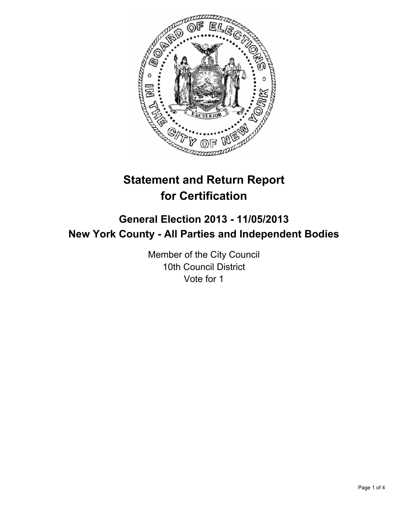

# **Statement and Return Report for Certification**

## **General Election 2013 - 11/05/2013 New York County - All Parties and Independent Bodies**

Member of the City Council 10th Council District Vote for 1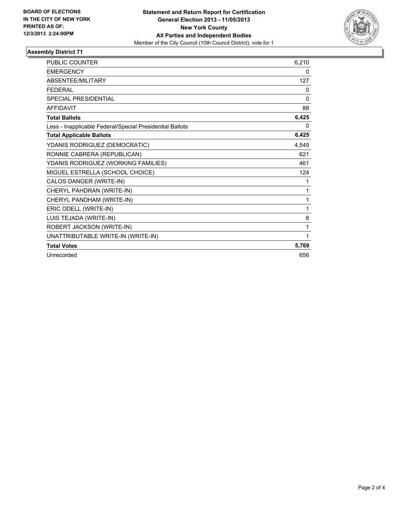

### **Assembly District 71**

| <b>PUBLIC COUNTER</b>                                    | 6,210    |
|----------------------------------------------------------|----------|
| <b>EMERGENCY</b>                                         | 0        |
| ABSENTEE/MILITARY                                        | 127      |
| <b>FEDERAL</b>                                           | 0        |
| <b>SPECIAL PRESIDENTIAL</b>                              | $\Omega$ |
| <b>AFFIDAVIT</b>                                         | 88       |
| <b>Total Ballots</b>                                     | 6,425    |
| Less - Inapplicable Federal/Special Presidential Ballots | $\Omega$ |
| <b>Total Applicable Ballots</b>                          | 6,425    |
| YDANIS RODRIGUEZ (DEMOCRATIC)                            | 4,549    |
| RONNIE CABRERA (REPUBLICAN)                              | 621      |
| YDANIS RODRIGUEZ (WORKING FAMILIES)                      | 461      |
| MIGUEL ESTRELLA (SCHOOL CHOICE)                          | 124      |
| CALOS DANGER (WRITE-IN)                                  | 1        |
| CHERYL PAHDRAN (WRITE-IN)                                | 1        |
| CHERYL PANDHAM (WRITE-IN)                                | 1        |
| ERIC ODELL (WRITE-IN)                                    | 1        |
| LUIS TEJADA (WRITE-IN)                                   | 8        |
| ROBERT JACKSON (WRITE-IN)                                | 1        |
| UNATTRIBUTABLE WRITE-IN (WRITE-IN)                       | 1        |
| <b>Total Votes</b>                                       | 5,769    |
| Unrecorded                                               | 656      |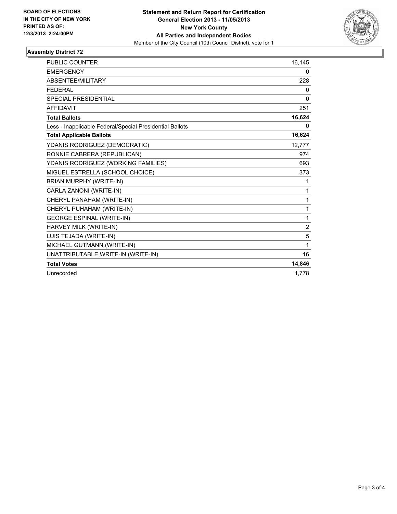

### **Assembly District 72**

| PUBLIC COUNTER                                           | 16,145         |
|----------------------------------------------------------|----------------|
| <b>EMERGENCY</b>                                         | 0              |
| ABSENTEE/MILITARY                                        | 228            |
| <b>FEDERAL</b>                                           | 0              |
| <b>SPECIAL PRESIDENTIAL</b>                              | $\mathbf{0}$   |
| <b>AFFIDAVIT</b>                                         | 251            |
| <b>Total Ballots</b>                                     | 16,624         |
| Less - Inapplicable Federal/Special Presidential Ballots | 0              |
| <b>Total Applicable Ballots</b>                          | 16,624         |
| YDANIS RODRIGUEZ (DEMOCRATIC)                            | 12.777         |
| RONNIE CABRERA (REPUBLICAN)                              | 974            |
| YDANIS RODRIGUEZ (WORKING FAMILIES)                      | 693            |
| MIGUEL ESTRELLA (SCHOOL CHOICE)                          | 373            |
| <b>BRIAN MURPHY (WRITE-IN)</b>                           | 1              |
| CARLA ZANONI (WRITE-IN)                                  | 1              |
| CHERYL PANAHAM (WRITE-IN)                                | 1              |
| CHERYL PUHAHAM (WRITE-IN)                                | 1              |
| <b>GEORGE ESPINAL (WRITE-IN)</b>                         | 1              |
| HARVEY MILK (WRITE-IN)                                   | $\overline{2}$ |
| LUIS TEJADA (WRITE-IN)                                   | 5              |
| MICHAEL GUTMANN (WRITE-IN)                               | 1              |
| UNATTRIBUTABLE WRITE-IN (WRITE-IN)                       | 16             |
| <b>Total Votes</b>                                       | 14,846         |
| Unrecorded                                               | 1,778          |